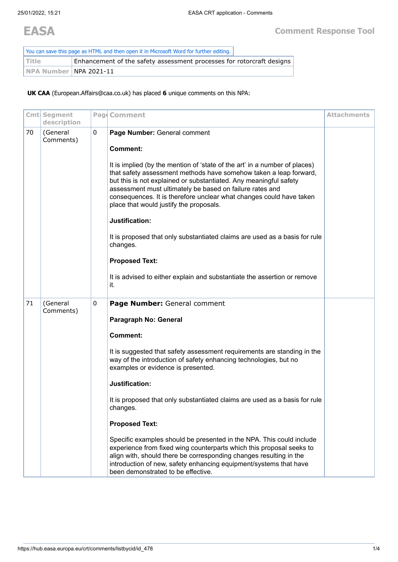| You can save this page as HTML and then open it in Microsoft Word for further editing. |                                                                       |  |
|----------------------------------------------------------------------------------------|-----------------------------------------------------------------------|--|
| <b>Title</b>                                                                           | Enhancement of the safety assessment processes for rotorcraft designs |  |
| NPA Number NPA 2021-11                                                                 |                                                                       |  |

**UK CAA** (European.Affairs@caa.co.uk) has placed **6** unique comments on this NPA:

|    | Cmt Segment<br>description |   | Pag Comment                                                                                                                                                                                                                                                                                                                                                                                        | <b>Attachments</b> |
|----|----------------------------|---|----------------------------------------------------------------------------------------------------------------------------------------------------------------------------------------------------------------------------------------------------------------------------------------------------------------------------------------------------------------------------------------------------|--------------------|
| 70 | (General<br>Comments)      | 0 | Page Number: General comment                                                                                                                                                                                                                                                                                                                                                                       |                    |
|    |                            |   | <b>Comment:</b>                                                                                                                                                                                                                                                                                                                                                                                    |                    |
|    |                            |   | It is implied (by the mention of 'state of the art' in a number of places)<br>that safety assessment methods have somehow taken a leap forward,<br>but this is not explained or substantiated. Any meaningful safety<br>assessment must ultimately be based on failure rates and<br>consequences. It is therefore unclear what changes could have taken<br>place that would justify the proposals. |                    |
|    |                            |   | Justification:                                                                                                                                                                                                                                                                                                                                                                                     |                    |
|    |                            |   | It is proposed that only substantiated claims are used as a basis for rule<br>changes.                                                                                                                                                                                                                                                                                                             |                    |
|    |                            |   | <b>Proposed Text:</b>                                                                                                                                                                                                                                                                                                                                                                              |                    |
|    |                            |   | It is advised to either explain and substantiate the assertion or remove<br>it.                                                                                                                                                                                                                                                                                                                    |                    |
| 71 | (General<br>Comments)      | 0 | Page Number: General comment                                                                                                                                                                                                                                                                                                                                                                       |                    |
|    |                            |   | Paragraph No: General                                                                                                                                                                                                                                                                                                                                                                              |                    |
|    |                            |   | <b>Comment:</b>                                                                                                                                                                                                                                                                                                                                                                                    |                    |
|    |                            |   | It is suggested that safety assessment requirements are standing in the<br>way of the introduction of safety enhancing technologies, but no<br>examples or evidence is presented.                                                                                                                                                                                                                  |                    |
|    |                            |   | Justification:                                                                                                                                                                                                                                                                                                                                                                                     |                    |
|    |                            |   | It is proposed that only substantiated claims are used as a basis for rule<br>changes.                                                                                                                                                                                                                                                                                                             |                    |
|    |                            |   | <b>Proposed Text:</b>                                                                                                                                                                                                                                                                                                                                                                              |                    |
|    |                            |   | Specific examples should be presented in the NPA. This could include<br>experience from fixed wing counterparts which this proposal seeks to<br>align with, should there be corresponding changes resulting in the<br>introduction of new, safety enhancing equipment/systems that have<br>been demonstrated to be effective.                                                                      |                    |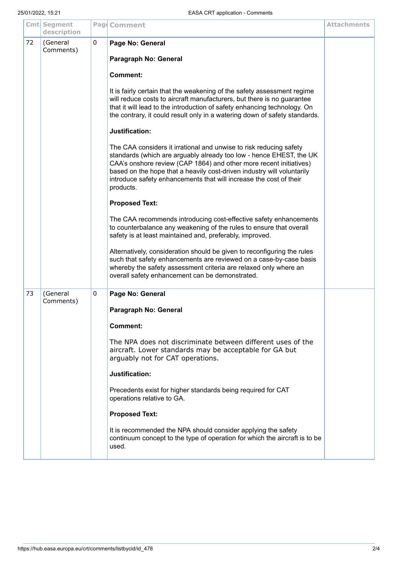|    | Cmt Segment<br>description |   | Pag Comment                                                                                                                                                                                                                                                                                                                                                                  | <b>Attachments</b> |
|----|----------------------------|---|------------------------------------------------------------------------------------------------------------------------------------------------------------------------------------------------------------------------------------------------------------------------------------------------------------------------------------------------------------------------------|--------------------|
| 72 | (General<br>Comments)      | 0 | Page No: General                                                                                                                                                                                                                                                                                                                                                             |                    |
|    |                            |   | Paragraph No: General                                                                                                                                                                                                                                                                                                                                                        |                    |
|    |                            |   | <b>Comment:</b>                                                                                                                                                                                                                                                                                                                                                              |                    |
|    |                            |   | It is fairly certain that the weakening of the safety assessment regime<br>will reduce costs to aircraft manufacturers, but there is no guarantee<br>that it will lead to the introduction of safety enhancing technology. On<br>the contrary, it could result only in a watering down of safety standards.                                                                  |                    |
|    |                            |   | Justification:                                                                                                                                                                                                                                                                                                                                                               |                    |
|    |                            |   | The CAA considers it irrational and unwise to risk reducing safety<br>standards (which are arguably already too low - hence EHEST, the UK<br>CAA's onshore review (CAP 1864) and other more recent initiatives)<br>based on the hope that a heavily cost-driven industry will voluntarily<br>introduce safety enhancements that will increase the cost of their<br>products. |                    |
|    |                            |   | <b>Proposed Text:</b>                                                                                                                                                                                                                                                                                                                                                        |                    |
|    |                            |   | The CAA recommends introducing cost-effective safety enhancements<br>to counterbalance any weakening of the rules to ensure that overall<br>safety is at least maintained and, preferably, improved.                                                                                                                                                                         |                    |
|    |                            |   | Alternatively, consideration should be given to reconfiguring the rules<br>such that safety enhancements are reviewed on a case-by-case basis<br>whereby the safety assessment criteria are relaxed only where an<br>overall safety enhancement can be demonstrated.                                                                                                         |                    |
| 73 | (General<br>Comments)      | 0 | Page No: General                                                                                                                                                                                                                                                                                                                                                             |                    |
|    |                            |   | Paragraph No: General                                                                                                                                                                                                                                                                                                                                                        |                    |
|    |                            |   | <b>Comment:</b>                                                                                                                                                                                                                                                                                                                                                              |                    |
|    |                            |   | The NPA does not discriminate between different uses of the<br>aircraft. Lower standards may be acceptable for GA but<br>arguably not for CAT operations.                                                                                                                                                                                                                    |                    |
|    |                            |   | Justification:                                                                                                                                                                                                                                                                                                                                                               |                    |
|    |                            |   | Precedents exist for higher standards being required for CAT<br>operations relative to GA.                                                                                                                                                                                                                                                                                   |                    |
|    |                            |   | <b>Proposed Text:</b>                                                                                                                                                                                                                                                                                                                                                        |                    |
|    |                            |   | It is recommended the NPA should consider applying the safety<br>continuum concept to the type of operation for which the aircraft is to be<br>used.                                                                                                                                                                                                                         |                    |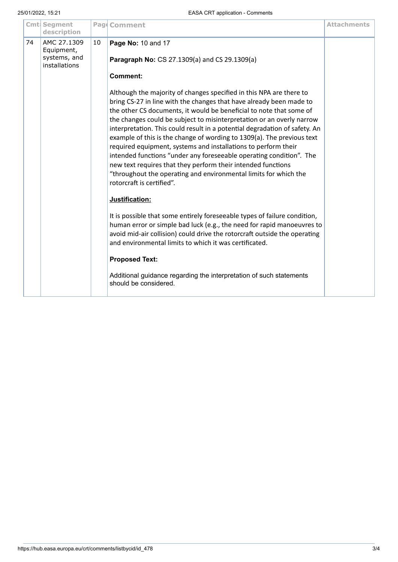|    | Cmt Segment<br>description                                 |    | Pag Comment                                                                                                                                                                                                                                                                                                                                                                                                                                                                                                                                                                                                                                                                                                                                                                                                                                                                                                                                                                                                                                                                                                                                                                                                              | <b>Attachments</b> |
|----|------------------------------------------------------------|----|--------------------------------------------------------------------------------------------------------------------------------------------------------------------------------------------------------------------------------------------------------------------------------------------------------------------------------------------------------------------------------------------------------------------------------------------------------------------------------------------------------------------------------------------------------------------------------------------------------------------------------------------------------------------------------------------------------------------------------------------------------------------------------------------------------------------------------------------------------------------------------------------------------------------------------------------------------------------------------------------------------------------------------------------------------------------------------------------------------------------------------------------------------------------------------------------------------------------------|--------------------|
| 74 | AMC 27.1309<br>Equipment,<br>systems, and<br>installations | 10 | Page No: 10 and 17<br>Paragraph No: CS 27.1309(a) and CS 29.1309(a)                                                                                                                                                                                                                                                                                                                                                                                                                                                                                                                                                                                                                                                                                                                                                                                                                                                                                                                                                                                                                                                                                                                                                      |                    |
|    |                                                            |    | <b>Comment:</b><br>Although the majority of changes specified in this NPA are there to<br>bring CS-27 in line with the changes that have already been made to<br>the other CS documents, it would be beneficial to note that some of<br>the changes could be subject to misinterpretation or an overly narrow<br>interpretation. This could result in a potential degradation of safety. An<br>example of this is the change of wording to 1309(a). The previous text<br>required equipment, systems and installations to perform their<br>intended functions "under any foreseeable operating condition". The<br>new text requires that they perform their intended functions<br>"throughout the operating and environmental limits for which the<br>rotorcraft is certified".<br>Justification:<br>It is possible that some entirely foreseeable types of failure condition,<br>human error or simple bad luck (e.g., the need for rapid manoeuvres to<br>avoid mid-air collision) could drive the rotorcraft outside the operating<br>and environmental limits to which it was certificated.<br><b>Proposed Text:</b><br>Additional guidance regarding the interpretation of such statements<br>should be considered. |                    |